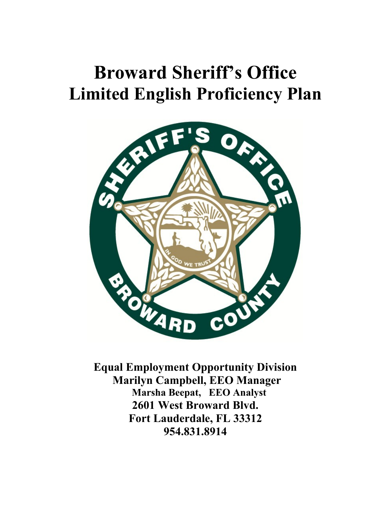# **Broward Sheriff's Office Limited English Proficiency Plan**



**Equal Employment Opportunity Division Marilyn Campbell, EEO Manager Marsha Beepat, EEO Analyst 2601 West Broward Blvd. Fort Lauderdale, FL 33312 954.831.8914**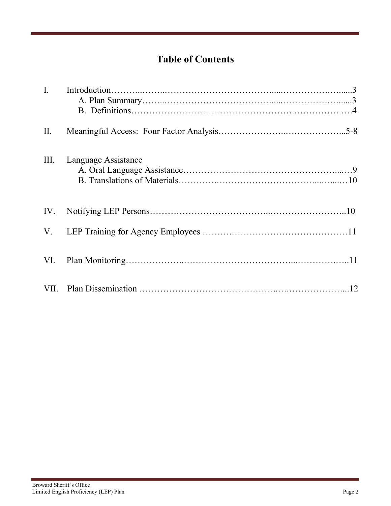# **Table of Contents**

| $\mathbf{I}$ . |                     |  |
|----------------|---------------------|--|
| II.            |                     |  |
| III.           | Language Assistance |  |
|                |                     |  |
| V.             |                     |  |
|                |                     |  |
|                |                     |  |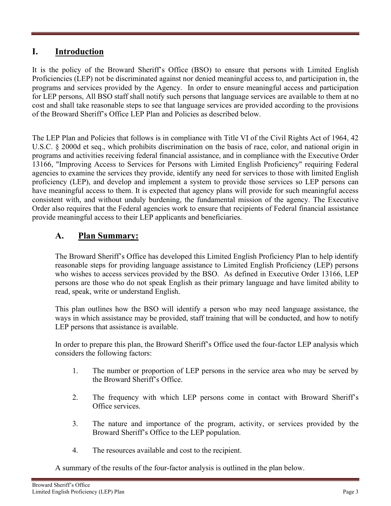## **I. Introduction**

It is the policy of the Broward Sheriff's Office (BSO) to ensure that persons with Limited English Proficiencies (LEP) not be discriminated against nor denied meaningful access to, and participation in, the programs and services provided by the Agency. In order to ensure meaningful access and participation for LEP persons, All BSO staff shall notify such persons that language services are available to them at no cost and shall take reasonable steps to see that language services are provided according to the provisions of the Broward Sheriff's Office LEP Plan and Policies as described below.

The LEP Plan and Policies that follows is in compliance with Title VI of the Civil Rights Act of 1964, 42 U.S.C. § 2000d et seq., which prohibits discrimination on the basis of race, color, and national origin in programs and activities receiving federal financial assistance, and in compliance with the Executive Order 13166, "Improving Access to Services for Persons with Limited English Proficiency" requiring Federal agencies to examine the services they provide, identify any need for services to those with limited English proficiency (LEP), and develop and implement a system to provide those services so LEP persons can have meaningful access to them. It is expected that agency plans will provide for such meaningful access consistent with, and without unduly burdening, the fundamental mission of the agency. The Executive Order also requires that the Federal agencies work to ensure that recipients of Federal financial assistance provide meaningful access to their LEP applicants and beneficiaries.

## **A. Plan Summary:**

The Broward Sheriff's Office has developed this Limited English Proficiency Plan to help identify reasonable steps for providing language assistance to Limited English Proficiency (LEP) persons who wishes to access services provided by the BSO. As defined in Executive Order 13166, LEP persons are those who do not speak English as their primary language and have limited ability to read, speak, write or understand English.

This plan outlines how the BSO will identify a person who may need language assistance, the ways in which assistance may be provided, staff training that will be conducted, and how to notify LEP persons that assistance is available.

In order to prepare this plan, the Broward Sheriff's Office used the four-factor LEP analysis which considers the following factors:

- 1. The number or proportion of LEP persons in the service area who may be served by the Broward Sheriff's Office.
- 2. The frequency with which LEP persons come in contact with Broward Sheriff's Office services.
- 3. The nature and importance of the program, activity, or services provided by the Broward Sheriff's Office to the LEP population.
- 4. The resources available and cost to the recipient.

A summary of the results of the four-factor analysis is outlined in the plan below.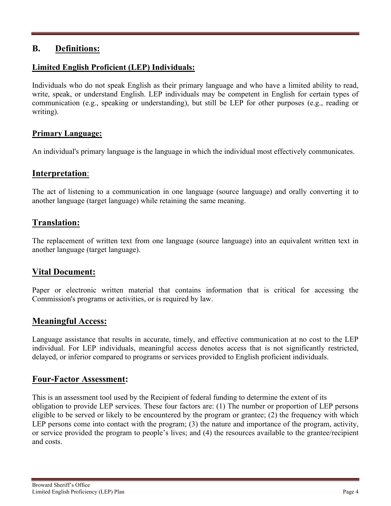## **B. Definitions:**

#### **Limited English Proficient (LEP) Individuals:**

Individuals who do not speak English as their primary language and who have a limited ability to read, write, speak, or understand English. LEP individuals may be competent in English for certain types of communication (e.g., speaking or understanding), but still be LEP for other purposes (e.g., reading or writing).

#### **Primary Language:**

An individual's primary language is the language in which the individual most effectively communicates.

## **Interpretation**:

The act of listening to a communication in one language (source language) and orally converting it to another language (target language) while retaining the same meaning.

## **Translation:**

The replacement of written text from one language (source language) into an equivalent written text in another language (target language).

## **Vital Document:**

Paper or electronic written material that contains information that is critical for accessing the Commission's programs or activities, or is required by law.

## **Meaningful Access:**

Language assistance that results in accurate, timely, and effective communication at no cost to the LEP individual. For LEP individuals, meaningful access denotes access that is not significantly restricted, delayed, or inferior compared to programs or services provided to English proficient individuals.

## **Four-Factor Assessment:**

This is an assessment tool used by the Recipient of federal funding to determine the extent of its obligation to provide LEP services. These four factors are: (1) The number or proportion of LEP persons eligible to be served or likely to be encountered by the program or grantee; (2) the frequency with which LEP persons come into contact with the program; (3) the nature and importance of the program, activity, or service provided the program to people's lives; and (4) the resources available to the grantee/recipient and costs.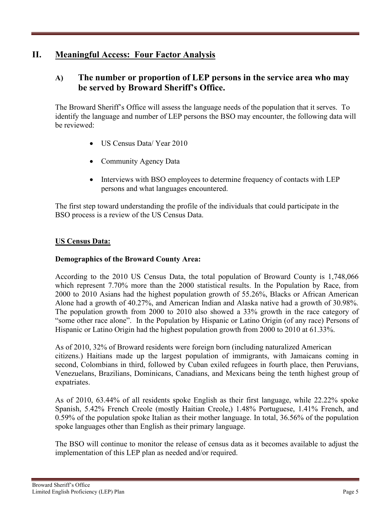## **II. Meaningful Access: Four Factor Analysis**

## **A) The number or proportion of LEP persons in the service area who may be served by Broward Sheriff's Office.**

The Broward Sheriff's Office will assess the language needs of the population that it serves. To identify the language and number of LEP persons the BSO may encounter, the following data will be reviewed:

- US Census Data/ Year 2010
- Community Agency Data
- Interviews with BSO employees to determine frequency of contacts with LEP persons and what languages encountered.

The first step toward understanding the profile of the individuals that could participate in the BSO process is a review of the US Census Data.

#### **US Census Data:**

#### **Demographics of the Broward County Area:**

According to the 2010 US Census Data, the total population of Broward County is 1,748,066 which represent 7.70% more than the 2000 statistical results. In the Population by Race, from 2000 to 2010 Asians had the highest population growth of 55.26%, Blacks or African American Alone had a growth of 40.27%, and American Indian and Alaska native had a growth of 30.98%. The population growth from 2000 to 2010 also showed a 33% growth in the race category of "some other race alone". In the Population by Hispanic or Latino Origin (of any race) Persons of Hispanic or Latino Origin had the highest population growth from 2000 to 2010 at 61.33%.

As of 2010, 32% of Broward residents were [foreign born](https://en.wikipedia.org/wiki/Foreign_born) (including [naturalized American](https://en.wikipedia.org/wiki/Naturalized_citizen_of_the_United_States)  [citizens.](https://en.wikipedia.org/wiki/Naturalized_citizen_of_the_United_States)) [Haitians](https://en.wikipedia.org/wiki/Haitian_people) made up the largest population of [immigrants,](https://en.wikipedia.org/wiki/Immigrant) with [Jamaicans](https://en.wikipedia.org/wiki/Jamaican_people) coming in second, [Colombians](https://en.wikipedia.org/wiki/Colombian_people) in third, followed by [Cuban](https://en.wikipedia.org/wiki/Cuban_people) [exiled](https://en.wikipedia.org/wiki/Exile) [refugees](https://en.wikipedia.org/wiki/Refugee) in fourth place, then [Peruvians,](https://en.wikipedia.org/wiki/Peruvian_people) [Venezuelans,](https://en.wikipedia.org/wiki/Venezuelan_people) [Brazilians,](https://en.wikipedia.org/wiki/Brazilian_people) [Dominicans,](https://en.wikipedia.org/wiki/Dominican_people_(Dominican_Republic)) [Canadians,](https://en.wikipedia.org/wiki/Canadian_people) and [Mexicans](https://en.wikipedia.org/wiki/Mexican_people) being the tenth highest group of [expatriates.](https://en.wikipedia.org/wiki/Expatriates)

As of 2010, 63.44% of all residents spoke [English](https://en.wikipedia.org/wiki/English_language) as their [first language,](https://en.wikipedia.org/wiki/First_language) while 22.22% spoke [Spanish,](https://en.wikipedia.org/wiki/Spanish_language) 5.42% [French Creole](https://en.wikipedia.org/wiki/French-based_creole_languages) (mostly [Haitian Creole,](https://en.wikipedia.org/wiki/Haitian_Creole)) 1.48% [Portuguese,](https://en.wikipedia.org/wiki/Portuguese_language) 1.41% [French,](https://en.wikipedia.org/wiki/French_language) and 0.59% of the population spoke [Italian](https://en.wikipedia.org/wiki/Italian_language) as their [mother language.](https://en.wikipedia.org/wiki/Mother_language) In total, 36.56% of the population spoke languages other than English as their [primary language.](https://en.wikipedia.org/wiki/Primary_language)

The BSO will continue to monitor the release of census data as it becomes available to adjust the implementation of this LEP plan as needed and/or required.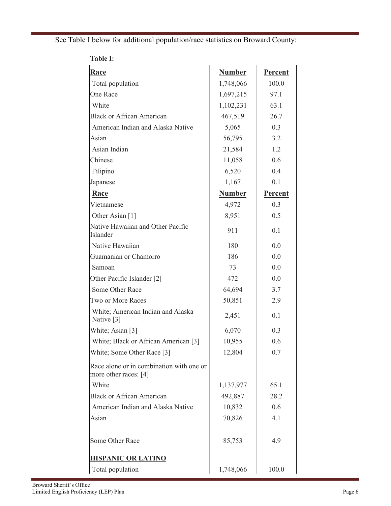See Table I below for additional population/race statistics on Broward County:

| <b>Race</b>                                                       | <b>Number</b> | Percent        |
|-------------------------------------------------------------------|---------------|----------------|
| Total population                                                  | 1,748,066     | 100.0          |
| <b>One Race</b>                                                   | 1,697,215     | 97.1           |
| White                                                             | 1,102,231     | 63.1           |
| <b>Black or African American</b>                                  | 467,519       | 26.7           |
| American Indian and Alaska Native                                 | 5,065         | 0.3            |
| Asian                                                             | 56,795        | 3.2            |
| Asian Indian                                                      | 21,584        | 1.2            |
| Chinese                                                           | 11,058        | 0.6            |
| Filipino                                                          | 6,520         | 0.4            |
| Japanese                                                          | 1,167         | 0.1            |
| Race                                                              | <b>Number</b> | <b>Percent</b> |
| Vietnamese                                                        | 4,972         | 0.3            |
| Other Asian [1]                                                   | 8,951         | 0.5            |
| Native Hawaiian and Other Pacific<br>Islander                     | 911           | 0.1            |
| Native Hawaiian                                                   | 180           | 0.0            |
| Guamanian or Chamorro                                             | 186           | 0.0            |
| Samoan                                                            | 73            | 0.0            |
| Other Pacific Islander [2]                                        | 472           | 0.0            |
| Some Other Race                                                   | 64,694        | 3.7            |
| Two or More Races                                                 | 50,851        | 2.9            |
| White; American Indian and Alaska<br>Native [3]                   | 2,451         | 0.1            |
| White; Asian [3]                                                  | 6,070         | 0.3            |
| White; Black or African American [3]                              | 10,955        | 0.6            |
| White; Some Other Race [3]                                        | 12,804        | 0.7            |
| Race alone or in combination with one or<br>more other races: [4] |               |                |
| White                                                             | 1,137,977     | 65.1           |
| <b>Black or African American</b>                                  | 492,887       | 28.2           |
| American Indian and Alaska Native                                 | 10,832        | 0.6            |
| Asian                                                             | 70,826        | 4.1            |
| Some Other Race                                                   | 85,753        | 4.9            |
| <b>HISPANIC OR LATINO</b>                                         |               |                |
| Total population                                                  | 1,748,066     | 100.0          |

**Table I:**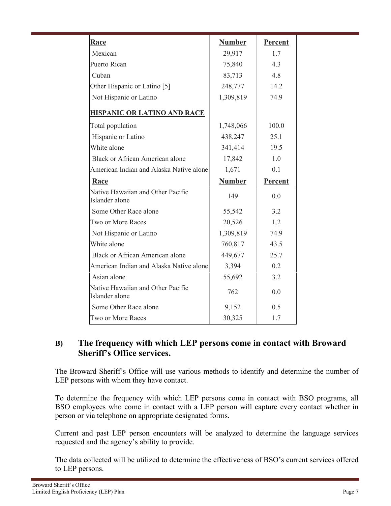| <b>Race</b><br><b>Number</b><br>Percent<br>Mexican<br>29,917<br>1.7<br>Puerto Rican<br>75,840<br>4.3<br>Cuban<br>83,713<br>4.8<br>Other Hispanic or Latino [5]<br>14.2<br>248,777<br>Not Hispanic or Latino<br>1,309,819<br>74.9<br><b>HISPANIC OR LATINO AND RACE</b><br>Total population<br>1,748,066<br>100.0<br>Hispanic or Latino<br>438,247<br>25.1<br>White alone<br>341,414<br>19.5<br><b>Black or African American alone</b><br>17,842<br>1.0<br>American Indian and Alaska Native alone<br>1,671<br>0.1<br><b>Number</b><br>Percent<br>Race<br>Native Hawaiian and Other Pacific<br>149<br>0.0<br>Islander alone<br>Some Other Race alone<br>55,542<br>3.2<br>Two or More Races<br>20,526<br>1.2<br>Not Hispanic or Latino<br>1,309,819<br>74.9<br>White alone<br>760,817<br>43.5<br><b>Black or African American alone</b><br>449,677<br>25.7<br>American Indian and Alaska Native alone<br>3,394<br>0.2<br>Asian alone<br>55,692<br>3.2<br>Native Hawaiian and Other Pacific<br>762<br>0.0<br>Islander alone<br>Some Other Race alone<br>9,152<br>0.5<br>Two or More Races<br>30,325<br>1.7 |  |  |
|---------------------------------------------------------------------------------------------------------------------------------------------------------------------------------------------------------------------------------------------------------------------------------------------------------------------------------------------------------------------------------------------------------------------------------------------------------------------------------------------------------------------------------------------------------------------------------------------------------------------------------------------------------------------------------------------------------------------------------------------------------------------------------------------------------------------------------------------------------------------------------------------------------------------------------------------------------------------------------------------------------------------------------------------------------------------------------------------------------|--|--|
|                                                                                                                                                                                                                                                                                                                                                                                                                                                                                                                                                                                                                                                                                                                                                                                                                                                                                                                                                                                                                                                                                                         |  |  |
|                                                                                                                                                                                                                                                                                                                                                                                                                                                                                                                                                                                                                                                                                                                                                                                                                                                                                                                                                                                                                                                                                                         |  |  |
|                                                                                                                                                                                                                                                                                                                                                                                                                                                                                                                                                                                                                                                                                                                                                                                                                                                                                                                                                                                                                                                                                                         |  |  |
|                                                                                                                                                                                                                                                                                                                                                                                                                                                                                                                                                                                                                                                                                                                                                                                                                                                                                                                                                                                                                                                                                                         |  |  |
|                                                                                                                                                                                                                                                                                                                                                                                                                                                                                                                                                                                                                                                                                                                                                                                                                                                                                                                                                                                                                                                                                                         |  |  |
|                                                                                                                                                                                                                                                                                                                                                                                                                                                                                                                                                                                                                                                                                                                                                                                                                                                                                                                                                                                                                                                                                                         |  |  |
|                                                                                                                                                                                                                                                                                                                                                                                                                                                                                                                                                                                                                                                                                                                                                                                                                                                                                                                                                                                                                                                                                                         |  |  |
|                                                                                                                                                                                                                                                                                                                                                                                                                                                                                                                                                                                                                                                                                                                                                                                                                                                                                                                                                                                                                                                                                                         |  |  |
|                                                                                                                                                                                                                                                                                                                                                                                                                                                                                                                                                                                                                                                                                                                                                                                                                                                                                                                                                                                                                                                                                                         |  |  |
|                                                                                                                                                                                                                                                                                                                                                                                                                                                                                                                                                                                                                                                                                                                                                                                                                                                                                                                                                                                                                                                                                                         |  |  |
|                                                                                                                                                                                                                                                                                                                                                                                                                                                                                                                                                                                                                                                                                                                                                                                                                                                                                                                                                                                                                                                                                                         |  |  |
|                                                                                                                                                                                                                                                                                                                                                                                                                                                                                                                                                                                                                                                                                                                                                                                                                                                                                                                                                                                                                                                                                                         |  |  |
|                                                                                                                                                                                                                                                                                                                                                                                                                                                                                                                                                                                                                                                                                                                                                                                                                                                                                                                                                                                                                                                                                                         |  |  |
|                                                                                                                                                                                                                                                                                                                                                                                                                                                                                                                                                                                                                                                                                                                                                                                                                                                                                                                                                                                                                                                                                                         |  |  |
|                                                                                                                                                                                                                                                                                                                                                                                                                                                                                                                                                                                                                                                                                                                                                                                                                                                                                                                                                                                                                                                                                                         |  |  |
|                                                                                                                                                                                                                                                                                                                                                                                                                                                                                                                                                                                                                                                                                                                                                                                                                                                                                                                                                                                                                                                                                                         |  |  |
|                                                                                                                                                                                                                                                                                                                                                                                                                                                                                                                                                                                                                                                                                                                                                                                                                                                                                                                                                                                                                                                                                                         |  |  |
|                                                                                                                                                                                                                                                                                                                                                                                                                                                                                                                                                                                                                                                                                                                                                                                                                                                                                                                                                                                                                                                                                                         |  |  |
|                                                                                                                                                                                                                                                                                                                                                                                                                                                                                                                                                                                                                                                                                                                                                                                                                                                                                                                                                                                                                                                                                                         |  |  |
|                                                                                                                                                                                                                                                                                                                                                                                                                                                                                                                                                                                                                                                                                                                                                                                                                                                                                                                                                                                                                                                                                                         |  |  |
|                                                                                                                                                                                                                                                                                                                                                                                                                                                                                                                                                                                                                                                                                                                                                                                                                                                                                                                                                                                                                                                                                                         |  |  |
|                                                                                                                                                                                                                                                                                                                                                                                                                                                                                                                                                                                                                                                                                                                                                                                                                                                                                                                                                                                                                                                                                                         |  |  |
|                                                                                                                                                                                                                                                                                                                                                                                                                                                                                                                                                                                                                                                                                                                                                                                                                                                                                                                                                                                                                                                                                                         |  |  |
|                                                                                                                                                                                                                                                                                                                                                                                                                                                                                                                                                                                                                                                                                                                                                                                                                                                                                                                                                                                                                                                                                                         |  |  |

## **B) The frequency with which LEP persons come in contact with Broward Sheriff's Office services.**

The Broward Sheriff's Office will use various methods to identify and determine the number of LEP persons with whom they have contact.

To determine the frequency with which LEP persons come in contact with BSO programs, all BSO employees who come in contact with a LEP person will capture every contact whether in person or via telephone on appropriate designated forms.

Current and past LEP person encounters will be analyzed to determine the language services requested and the agency's ability to provide.

The data collected will be utilized to determine the effectiveness of BSO's current services offered to LEP persons.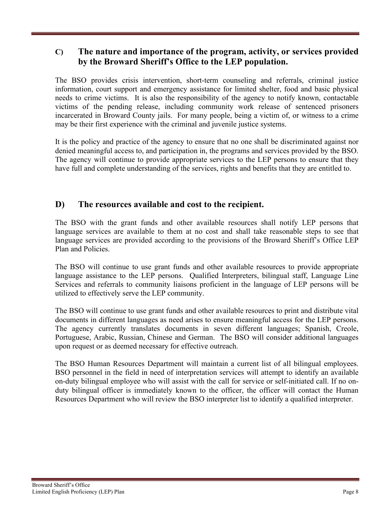## **C) The nature and importance of the program, activity, or services provided by the Broward Sheriff's Office to the LEP population.**

The BSO provides crisis intervention, short-term counseling and referrals, criminal justice information, court support and emergency assistance for limited shelter, food and basic physical needs to crime victims. It is also the responsibility of the agency to notify known, contactable victims of the pending release, including community work release of sentenced prisoners incarcerated in Broward County jails. For many people, being a victim of, or witness to a crime may be their first experience with the criminal and juvenile justice systems.

It is the policy and practice of the agency to ensure that no one shall be discriminated against nor denied meaningful access to, and participation in, the programs and services provided by the BSO. The agency will continue to provide appropriate services to the LEP persons to ensure that they have full and complete understanding of the services, rights and benefits that they are entitled to.

## **D) The resources available and cost to the recipient.**

The BSO with the grant funds and other available resources shall notify LEP persons that language services are available to them at no cost and shall take reasonable steps to see that language services are provided according to the provisions of the Broward Sheriff's Office LEP Plan and Policies.

The BSO will continue to use grant funds and other available resources to provide appropriate language assistance to the LEP persons. Qualified Interpreters, bilingual staff, Language Line Services and referrals to community liaisons proficient in the language of LEP persons will be utilized to effectively serve the LEP community.

The BSO will continue to use grant funds and other available resources to print and distribute vital documents in different languages as need arises to ensure meaningful access for the LEP persons. The agency currently translates documents in seven different languages; Spanish, Creole, Portuguese, Arabic, Russian, Chinese and German. The BSO will consider additional languages upon request or as deemed necessary for effective outreach.

The BSO Human Resources Department will maintain a current list of all bilingual employees. BSO personnel in the field in need of interpretation services will attempt to identify an available on-duty bilingual employee who will assist with the call for service or self-initiated call. If no onduty bilingual officer is immediately known to the officer, the officer will contact the Human Resources Department who will review the BSO interpreter list to identify a qualified interpreter.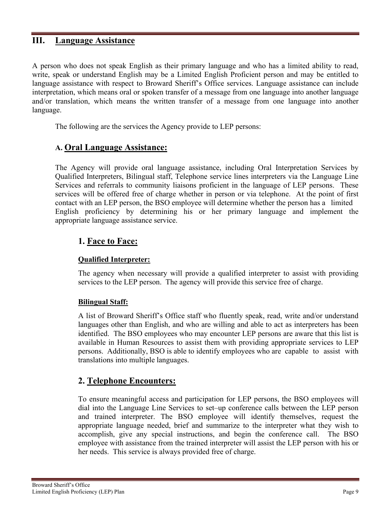#### **III. Language Assistance**

A person who does not speak English as their primary language and who has a limited ability to read, write, speak or understand English may be a Limited English Proficient person and may be entitled to language assistance with respect to Broward Sheriff's Office services. Language assistance can include interpretation, which means oral or spoken transfer of a message from one language into another language and/or translation, which means the written transfer of a message from one language into another language.

The following are the services the Agency provide to LEP persons:

## **A. Oral Language Assistance:**

The Agency will provide oral language assistance, including Oral Interpretation Services by Qualified Interpreters, Bilingual staff, Telephone service lines interpreters via the Language Line Services and referrals to community liaisons proficient in the language of LEP persons. These services will be offered free of charge whether in person or via telephone. At the point of first contact with an LEP person, the BSO employee will determine whether the person has a limited English proficiency by determining his or her primary language and implement the appropriate language assistance service.

#### **1. Face to Face:**

#### **Qualified Interpreter:**

The agency when necessary will provide a qualified interpreter to assist with providing services to the LEP person. The agency will provide this service free of charge.

#### **Bilingual Staff:**

A list of Broward Sheriff's Office staff who fluently speak, read, write and/or understand languages other than English, and who are willing and able to act as interpreters has been identified. The BSO employees who may encounter LEP persons are aware that this list is available in Human Resources to assist them with providing appropriate services to LEP persons. Additionally, BSO is able to identify employees who are capable to assist with translations into multiple languages.

## **2. Telephone Encounters:**

To ensure meaningful access and participation for LEP persons, the BSO employees will dial into the Language Line Services to set–up conference calls between the LEP person and trained interpreter. The BSO employee will identify themselves, request the appropriate language needed, brief and summarize to the interpreter what they wish to accomplish, give any special instructions, and begin the conference call. The BSO employee with assistance from the trained interpreter will assist the LEP person with his or her needs. This service is always provided free of charge.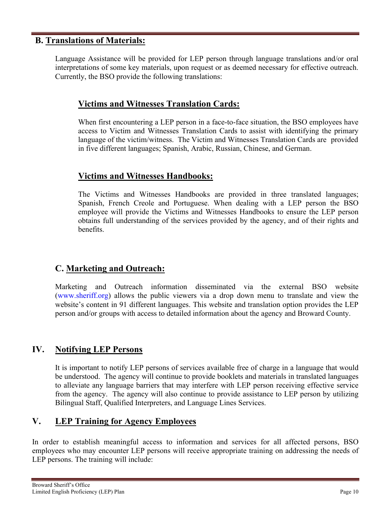#### **B. Translations of Materials:**

Language Assistance will be provided for LEP person through language translations and/or oral interpretations of some key materials, upon request or as deemed necessary for effective outreach. Currently, the BSO provide the following translations:

#### **Victims and Witnesses Translation Cards:**

When first encountering a LEP person in a face-to-face situation, the BSO employees have access to Victim and Witnesses Translation Cards to assist with identifying the primary language of the victim/witness. The Victim and Witnesses Translation Cards are provided in five different languages; Spanish, Arabic, Russian, Chinese, and German.

#### **Victims and Witnesses Handbooks:**

The Victims and Witnesses Handbooks are provided in three translated languages; Spanish, French Creole and Portuguese. When dealing with a LEP person the BSO employee will provide the Victims and Witnesses Handbooks to ensure the LEP person obtains full understanding of the services provided by the agency, and of their rights and benefits.

## **C. Marketing and Outreach:**

Marketing and Outreach information disseminated via the external BSO website [\(www.sheriff.org\)](http://www.sheriff.org/) allows the public viewers via a drop down menu to translate and view the website's content in 91 different languages. This website and translation option provides the LEP person and/or groups with access to detailed information about the agency and Broward County.

## **IV. Notifying LEP Persons**

It is important to notify LEP persons of services available free of charge in a language that would be understood. The agency will continue to provide booklets and materials in translated languages to alleviate any language barriers that may interfere with LEP person receiving effective service from the agency. The agency will also continue to provide assistance to LEP person by utilizing Bilingual Staff, Qualified Interpreters, and Language Lines Services.

## **V. LEP Training for Agency Employees**

In order to establish meaningful access to information and services for all affected persons, BSO employees who may encounter LEP persons will receive appropriate training on addressing the needs of LEP persons. The training will include: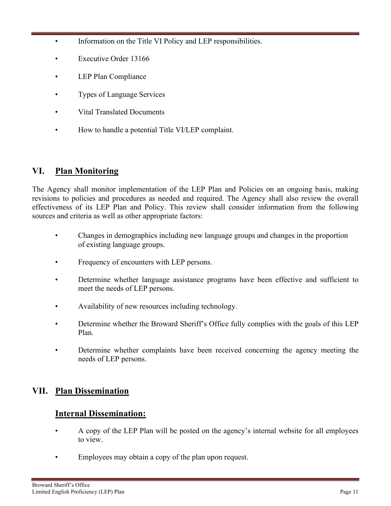- Information on the Title VI Policy and LEP responsibilities.
- Executive Order 13166
- LEP Plan Compliance
- Types of Language Services
- Vital Translated Documents
- How to handle a potential Title VI/LEP complaint.

## **VI. Plan Monitoring**

The Agency shall monitor implementation of the LEP Plan and Policies on an ongoing basis, making revisions to policies and procedures as needed and required. The Agency shall also review the overall effectiveness of its LEP Plan and Policy. This review shall consider information from the following sources and criteria as well as other appropriate factors:

- Changes in demographics including new language groups and changes in the proportion of existing language groups.
- Frequency of encounters with LEP persons.
- Determine whether language assistance programs have been effective and sufficient to meet the needs of LEP persons.
- Availability of new resources including technology.
- Determine whether the Broward Sheriff's Office fully complies with the goals of this LEP Plan.
- Determine whether complaints have been received concerning the agency meeting the needs of LEP persons.

## **VII. Plan Dissemination**

## **Internal Dissemination:**

- A copy of the LEP Plan will be posted on the agency's internal website for all employees to view.
- Employees may obtain a copy of the plan upon request.